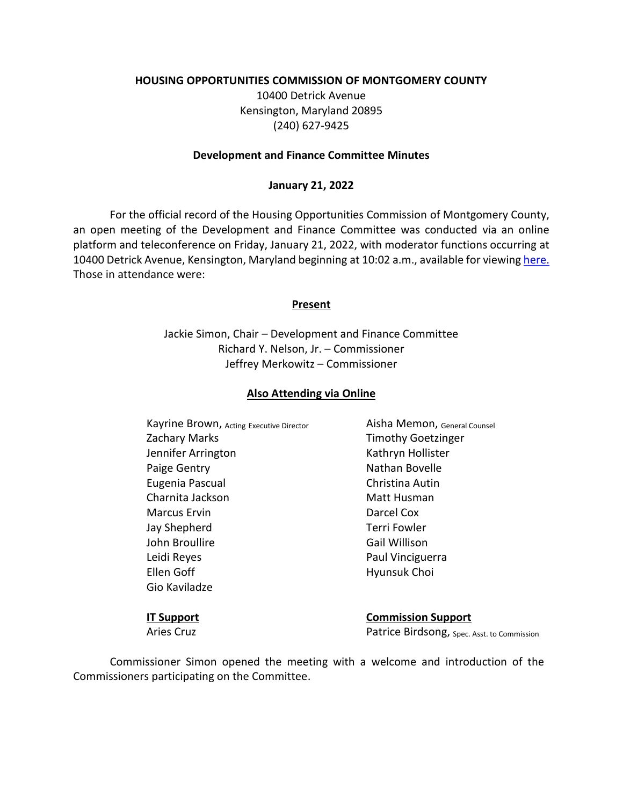### **HOUSING OPPORTUNITIES COMMISSION OF MONTGOMERY COUNTY**

10400 Detrick Avenue Kensington, Maryland 20895 (240) 627-9425

#### **Development and Finance Committee Minutes**

### **January 21, 2022**

For the official record of the Housing Opportunities Commission of Montgomery County, an open meeting of the Development and Finance Committee was conducted via an online platform and teleconference on Friday, January 21, 2022, with moderator functions occurring at 10400 Detrick Avenue, Kensington, Maryland beginning at 10:02 a.m., available for viewing [here.](https://youtu.be/Lln-zdueX0o)  Those in attendance were:

### **Present**

Jackie Simon, Chair – Development and Finance Committee Richard Y. Nelson, Jr. – Commissioner Jeffrey Merkowitz – Commissioner

### **Also Attending via Online**

Kayrine Brown, Acting Executive Director **Aisha Memon**, General Counsel Zachary Marks Timothy Goetzinger Jennifer Arrington **Kathryn Hollister** Paige Gentry **Nathan Bovelle** Eugenia Pascual Christina Autin Charnita Jackson Matt Husman Marcus Ervin **Darcel Cox** Jay Shepherd Terri Fowler John Broullire **Gail Willison** Leidi Reyes **Paul Vinciguerra** Ellen Goff **Hyunsuk Choi** Gio Kaviladze

**IT Support Commission Support** Aries Cruz **Patrice Birdsong**, Spec. Asst. to Commission

Commissioner Simon opened the meeting with a welcome and introduction of the Commissioners participating on the Committee.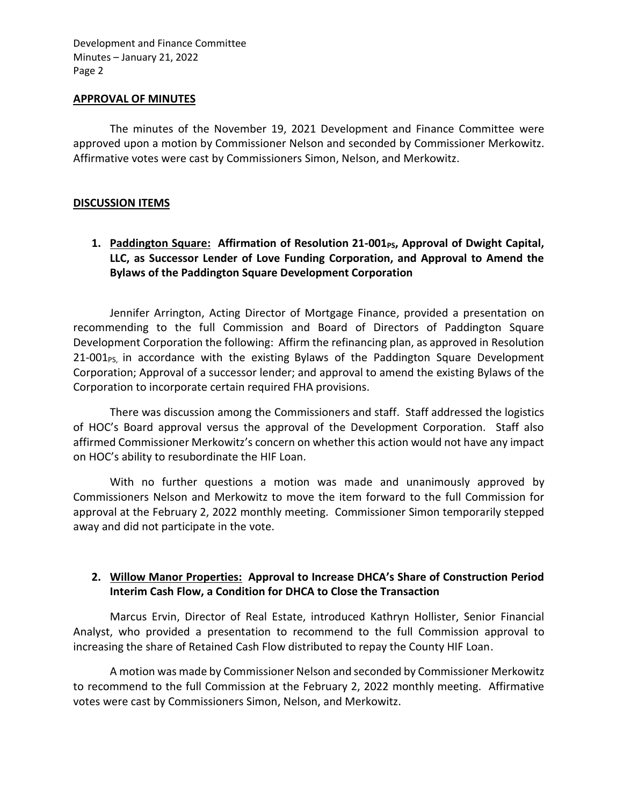#### **APPROVAL OF MINUTES**

The minutes of the November 19, 2021 Development and Finance Committee were approved upon a motion by Commissioner Nelson and seconded by Commissioner Merkowitz. Affirmative votes were cast by Commissioners Simon, Nelson, and Merkowitz.

### **DISCUSSION ITEMS**

1. **Paddington Square: Affirmation of Resolution 21-001<sub>PS</sub>, Approval of Dwight Capital, LLC, as Successor Lender of Love Funding Corporation, and Approval to Amend the Bylaws of the Paddington Square Development Corporation**

Jennifer Arrington, Acting Director of Mortgage Finance, provided a presentation on recommending to the full Commission and Board of Directors of Paddington Square Development Corporation the following: Affirm the refinancing plan, as approved in Resolution  $21-001<sub>PS</sub>$ , in accordance with the existing Bylaws of the Paddington Square Development Corporation; Approval of a successor lender; and approval to amend the existing Bylaws of the Corporation to incorporate certain required FHA provisions.

There was discussion among the Commissioners and staff. Staff addressed the logistics of HOC's Board approval versus the approval of the Development Corporation. Staff also affirmed Commissioner Merkowitz's concern on whether this action would not have any impact on HOC's ability to resubordinate the HIF Loan.

With no further questions a motion was made and unanimously approved by Commissioners Nelson and Merkowitz to move the item forward to the full Commission for approval at the February 2, 2022 monthly meeting. Commissioner Simon temporarily stepped away and did not participate in the vote.

## **2. Willow Manor Properties: Approval to Increase DHCA's Share of Construction Period Interim Cash Flow, a Condition for DHCA to Close the Transaction**

Marcus Ervin, Director of Real Estate, introduced Kathryn Hollister, Senior Financial Analyst, who provided a presentation to recommend to the full Commission approval to increasing the share of Retained Cash Flow distributed to repay the County HIF Loan.

A motion was made by Commissioner Nelson and seconded by Commissioner Merkowitz to recommend to the full Commission at the February 2, 2022 monthly meeting. Affirmative votes were cast by Commissioners Simon, Nelson, and Merkowitz.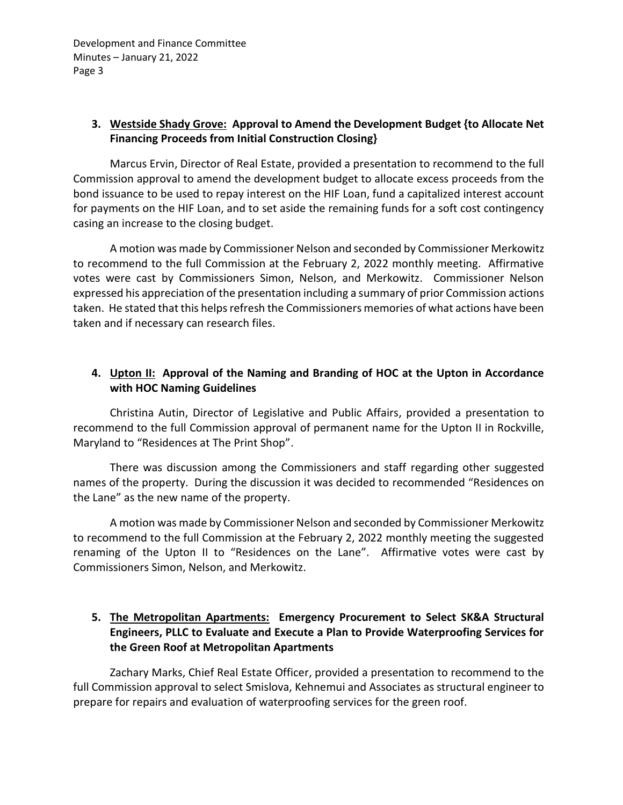## **3. Westside Shady Grove: Approval to Amend the Development Budget {to Allocate Net Financing Proceeds from Initial Construction Closing}**

Marcus Ervin, Director of Real Estate, provided a presentation to recommend to the full Commission approval to amend the development budget to allocate excess proceeds from the bond issuance to be used to repay interest on the HIF Loan, fund a capitalized interest account for payments on the HIF Loan, and to set aside the remaining funds for a soft cost contingency casing an increase to the closing budget.

A motion was made by Commissioner Nelson and seconded by Commissioner Merkowitz to recommend to the full Commission at the February 2, 2022 monthly meeting. Affirmative votes were cast by Commissioners Simon, Nelson, and Merkowitz. Commissioner Nelson expressed his appreciation of the presentation including a summary of prior Commission actions taken. He stated that this helps refresh the Commissioners memories of what actions have been taken and if necessary can research files.

# **4. Upton II: Approval of the Naming and Branding of HOC at the Upton in Accordance with HOC Naming Guidelines**

Christina Autin, Director of Legislative and Public Affairs, provided a presentation to recommend to the full Commission approval of permanent name for the Upton II in Rockville, Maryland to "Residences at The Print Shop".

There was discussion among the Commissioners and staff regarding other suggested names of the property. During the discussion it was decided to recommended "Residences on the Lane" as the new name of the property.

A motion was made by Commissioner Nelson and seconded by Commissioner Merkowitz to recommend to the full Commission at the February 2, 2022 monthly meeting the suggested renaming of the Upton II to "Residences on the Lane". Affirmative votes were cast by Commissioners Simon, Nelson, and Merkowitz.

# **5. The Metropolitan Apartments: Emergency Procurement to Select SK&A Structural Engineers, PLLC to Evaluate and Execute a Plan to Provide Waterproofing Services for the Green Roof at Metropolitan Apartments**

Zachary Marks, Chief Real Estate Officer, provided a presentation to recommend to the full Commission approval to select Smislova, Kehnemui and Associates as structural engineer to prepare for repairs and evaluation of waterproofing services for the green roof.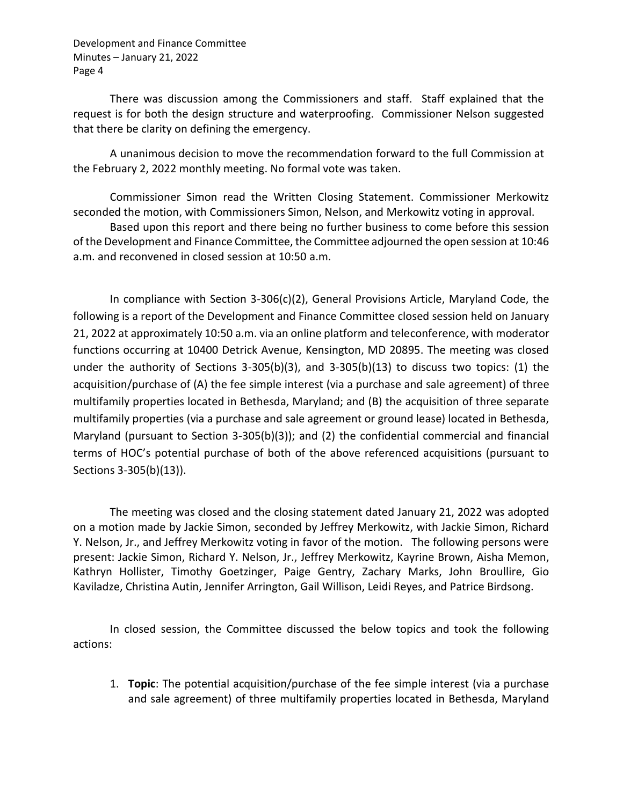There was discussion among the Commissioners and staff. Staff explained that the request is for both the design structure and waterproofing. Commissioner Nelson suggested that there be clarity on defining the emergency.

A unanimous decision to move the recommendation forward to the full Commission at the February 2, 2022 monthly meeting. No formal vote was taken.

Commissioner Simon read the Written Closing Statement. Commissioner Merkowitz seconded the motion, with Commissioners Simon, Nelson, and Merkowitz voting in approval.

Based upon this report and there being no further business to come before this session of the Development and Finance Committee, the Committee adjourned the open session at 10:46 a.m. and reconvened in closed session at 10:50 a.m.

In compliance with Section 3-306(c)(2), General Provisions Article, Maryland Code, the following is a report of the Development and Finance Committee closed session held on January 21, 2022 at approximately 10:50 a.m. via an online platform and teleconference, with moderator functions occurring at 10400 Detrick Avenue, Kensington, MD 20895. The meeting was closed under the authority of Sections 3-305(b)(3), and 3-305(b)(13) to discuss two topics: (1) the acquisition/purchase of (A) the fee simple interest (via a purchase and sale agreement) of three multifamily properties located in Bethesda, Maryland; and (B) the acquisition of three separate multifamily properties (via a purchase and sale agreement or ground lease) located in Bethesda, Maryland (pursuant to Section 3-305(b)(3)); and (2) the confidential commercial and financial terms of HOC's potential purchase of both of the above referenced acquisitions (pursuant to Sections 3-305(b)(13)).

The meeting was closed and the closing statement dated January 21, 2022 was adopted on a motion made by Jackie Simon, seconded by Jeffrey Merkowitz, with Jackie Simon, Richard Y. Nelson, Jr., and Jeffrey Merkowitz voting in favor of the motion. The following persons were present: Jackie Simon, Richard Y. Nelson, Jr., Jeffrey Merkowitz, Kayrine Brown, Aisha Memon, Kathryn Hollister, Timothy Goetzinger, Paige Gentry, Zachary Marks, John Broullire, Gio Kaviladze, Christina Autin, Jennifer Arrington, Gail Willison, Leidi Reyes, and Patrice Birdsong.

In closed session, the Committee discussed the below topics and took the following actions:

1. **Topic**: The potential acquisition/purchase of the fee simple interest (via a purchase and sale agreement) of three multifamily properties located in Bethesda, Maryland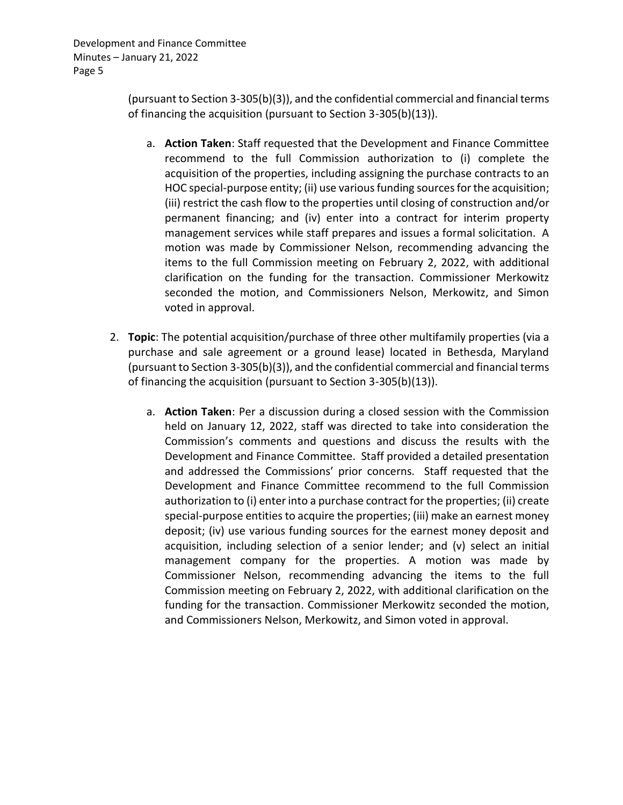> (pursuant to Section 3-305(b)(3)), and the confidential commercial and financial terms of financing the acquisition (pursuant to Section 3-305(b)(13)).

- a. **Action Taken**: Staff requested that the Development and Finance Committee recommend to the full Commission authorization to (i) complete the acquisition of the properties, including assigning the purchase contracts to an HOC special-purpose entity; (ii) use various funding sources for the acquisition; (iii) restrict the cash flow to the properties until closing of construction and/or permanent financing; and (iv) enter into a contract for interim property management services while staff prepares and issues a formal solicitation. A motion was made by Commissioner Nelson, recommending advancing the items to the full Commission meeting on February 2, 2022, with additional clarification on the funding for the transaction. Commissioner Merkowitz seconded the motion, and Commissioners Nelson, Merkowitz, and Simon voted in approval.
- 2. **Topic**: The potential acquisition/purchase of three other multifamily properties (via a purchase and sale agreement or a ground lease) located in Bethesda, Maryland (pursuant to Section 3-305(b)(3)), and the confidential commercial and financial terms of financing the acquisition (pursuant to Section 3-305(b)(13)).
	- a. **Action Taken**: Per a discussion during a closed session with the Commission held on January 12, 2022, staff was directed to take into consideration the Commission's comments and questions and discuss the results with the Development and Finance Committee. Staff provided a detailed presentation and addressed the Commissions' prior concerns. Staff requested that the Development and Finance Committee recommend to the full Commission authorization to (i) enter into a purchase contract for the properties; (ii) create special-purpose entities to acquire the properties; (iii) make an earnest money deposit; (iv) use various funding sources for the earnest money deposit and acquisition, including selection of a senior lender; and (v) select an initial management company for the properties. A motion was made by Commissioner Nelson, recommending advancing the items to the full Commission meeting on February 2, 2022, with additional clarification on the funding for the transaction. Commissioner Merkowitz seconded the motion, and Commissioners Nelson, Merkowitz, and Simon voted in approval.